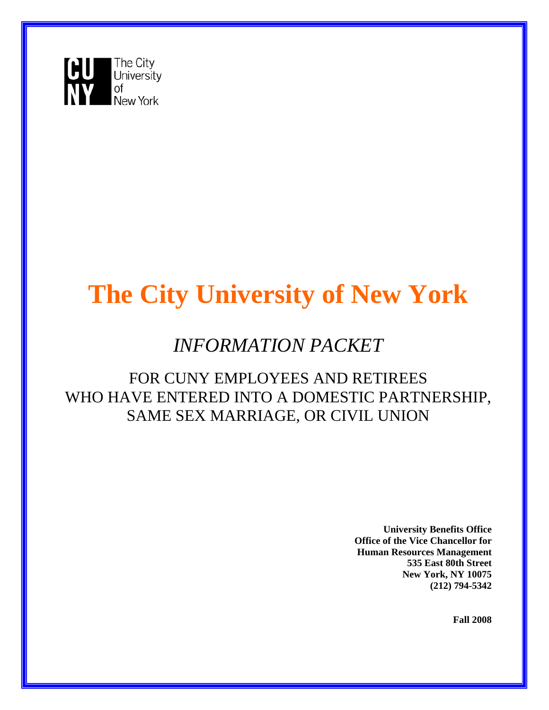

# **The City University of New York**

## *INFORMATION PACKET*

### FOR CUNY EMPLOYEES AND RETIREES WHO HAVE ENTERED INTO A DOMESTIC PARTNERSHIP, SAME SEX MARRIAGE, OR CIVIL UNION

 **University Benefits Office Office of the Vice Chancellor for Human Resources Management 535 East 80th Street New York, NY 10075 (212) 794-5342**

**Fall 2008**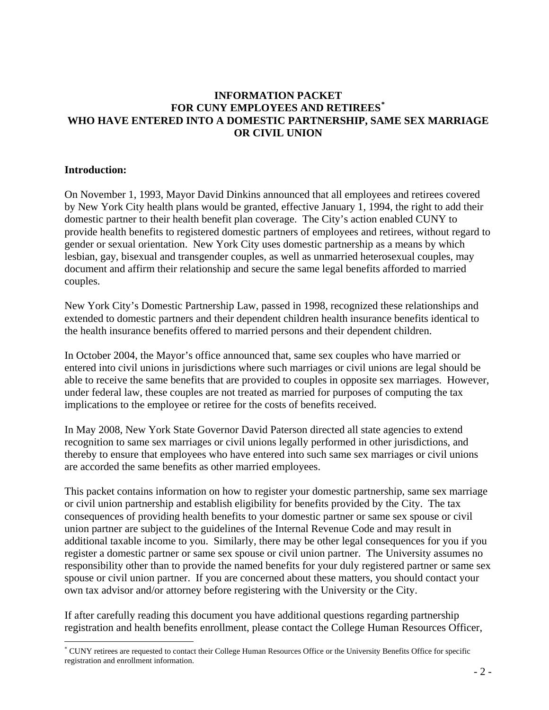#### **INFORMATION PACKET FOR CUNY EMPLOYEES AND RETIREES[\\*](#page-1-0) WHO HAVE ENTERED INTO A DOMESTIC PARTNERSHIP, SAME SEX MARRIAGE OR CIVIL UNION**

#### **Introduction:**

 $\overline{a}$ 

On November 1, 1993, Mayor David Dinkins announced that all employees and retirees covered by New York City health plans would be granted, effective January 1, 1994, the right to add their domestic partner to their health benefit plan coverage. The City's action enabled CUNY to provide health benefits to registered domestic partners of employees and retirees, without regard to gender or sexual orientation. New York City uses domestic partnership as a means by which lesbian, gay, bisexual and transgender couples, as well as unmarried heterosexual couples, may document and affirm their relationship and secure the same legal benefits afforded to married couples.

New York City's Domestic Partnership Law, passed in 1998, recognized these relationships and extended to domestic partners and their dependent children health insurance benefits identical to the health insurance benefits offered to married persons and their dependent children.

In October 2004, the Mayor's office announced that, same sex couples who have married or entered into civil unions in jurisdictions where such marriages or civil unions are legal should be able to receive the same benefits that are provided to couples in opposite sex marriages. However, under federal law, these couples are not treated as married for purposes of computing the tax implications to the employee or retiree for the costs of benefits received.

In May 2008, New York State Governor David Paterson directed all state agencies to extend recognition to same sex marriages or civil unions legally performed in other jurisdictions, and thereby to ensure that employees who have entered into such same sex marriages or civil unions are accorded the same benefits as other married employees.

This packet contains information on how to register your domestic partnership, same sex marriage or civil union partnership and establish eligibility for benefits provided by the City. The tax consequences of providing health benefits to your domestic partner or same sex spouse or civil union partner are subject to the guidelines of the Internal Revenue Code and may result in additional taxable income to you. Similarly, there may be other legal consequences for you if you register a domestic partner or same sex spouse or civil union partner. The University assumes no responsibility other than to provide the named benefits for your duly registered partner or same sex spouse or civil union partner. If you are concerned about these matters, you should contact your own tax advisor and/or attorney before registering with the University or the City.

If after carefully reading this document you have additional questions regarding partnership registration and health benefits enrollment, please contact the College Human Resources Officer,

<span id="page-1-0"></span><sup>\*</sup> CUNY retirees are requested to contact their College Human Resources Office or the University Benefits Office for specific registration and enrollment information.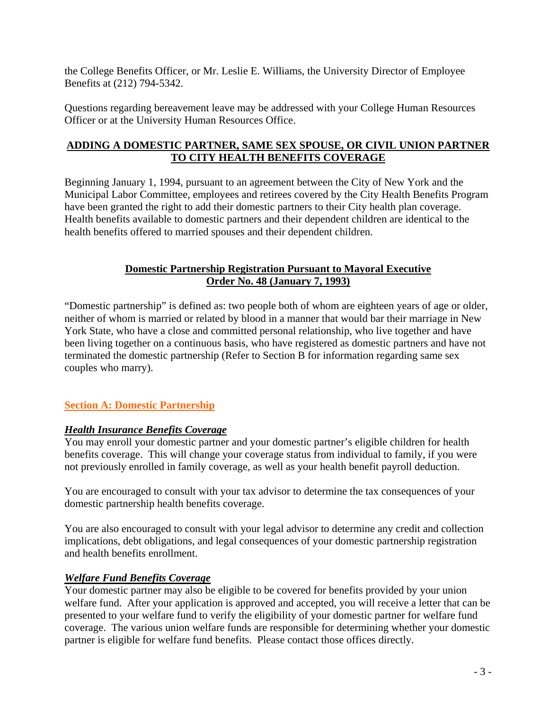the College Benefits Officer, or Mr. Leslie E. Williams, the University Director of Employee Benefits at (212) 794-5342.

Questions regarding bereavement leave may be addressed with your College Human Resources Officer or at the University Human Resources Office.

#### **ADDING A DOMESTIC PARTNER, SAME SEX SPOUSE, OR CIVIL UNION PARTNER TO CITY HEALTH BENEFITS COVERAGE**

Beginning January 1, 1994, pursuant to an agreement between the City of New York and the Municipal Labor Committee, employees and retirees covered by the City Health Benefits Program have been granted the right to add their domestic partners to their City health plan coverage. Health benefits available to domestic partners and their dependent children are identical to the health benefits offered to married spouses and their dependent children.

#### **Domestic Partnership Registration Pursuant to Mayoral Executive Order No. 48 (January 7, 1993)**

"Domestic partnership" is defined as: two people both of whom are eighteen years of age or older, neither of whom is married or related by blood in a manner that would bar their marriage in New York State, who have a close and committed personal relationship, who live together and have been living together on a continuous basis, who have registered as domestic partners and have not terminated the domestic partnership (Refer to Section B for information regarding same sex couples who marry).

#### **Section A: Domestic Partnership**

#### *Health Insurance Benefits Coverage*

You may enroll your domestic partner and your domestic partner's eligible children for health benefits coverage. This will change your coverage status from individual to family, if you were not previously enrolled in family coverage, as well as your health benefit payroll deduction.

You are encouraged to consult with your tax advisor to determine the tax consequences of your domestic partnership health benefits coverage.

You are also encouraged to consult with your legal advisor to determine any credit and collection implications, debt obligations, and legal consequences of your domestic partnership registration and health benefits enrollment.

#### *Welfare Fund Benefits Coverage*

Your domestic partner may also be eligible to be covered for benefits provided by your union welfare fund. After your application is approved and accepted, you will receive a letter that can be presented to your welfare fund to verify the eligibility of your domestic partner for welfare fund coverage. The various union welfare funds are responsible for determining whether your domestic partner is eligible for welfare fund benefits. Please contact those offices directly.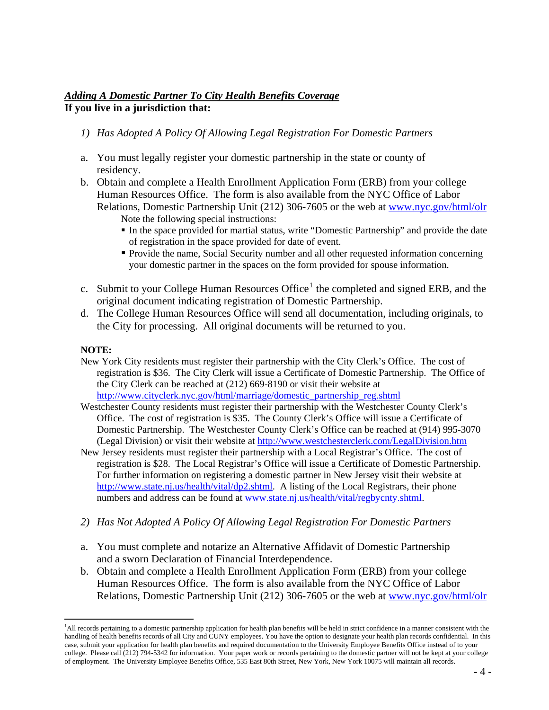#### *Adding A Domestic Partner To City Health Benefits Coverage* **If you live in a jurisdiction that:**

- *1) Has Adopted A Policy Of Allowing Legal Registration For Domestic Partners*
- a. You must legally register your domestic partnership in the state or county of residency.
- b. Obtain and complete a Health Enrollment Application Form (ERB) from your college Human Resources Office. The form is also available from the NYC Office of Labor Relations, Domestic Partnership Unit (212) 306-7605 or the web at [www.nyc.gov/html/olr](http://www.nyc.gov/html/olr/html/health/health_benefits_prog.shtml)
	- Note the following special instructions:
	- In the space provided for martial status, write "Domestic Partnership" and provide the date of registration in the space provided for date of event.
	- Provide the name, Social Security number and all other requested information concerning your domestic partner in the spaces on the form provided for spouse information.
- c. Submit to your College Human Resources Office<sup>[1](#page-3-0)</sup> the completed and signed ERB, and the original document indicating registration of Domestic Partnership.
- d. The College Human Resources Office will send all documentation, including originals, to the City for processing. All original documents will be returned to you.

#### **NOTE:**

- New York City residents must register their partnership with the City Clerk's Office. The cost of registration is \$36. The City Clerk will issue a Certificate of Domestic Partnership. The Office of the City Clerk can be reached at (212) 669-8190 or visit their website at [http://www.cityclerk.nyc.gov/html/marriage/domestic\\_partnership\\_reg.shtml](http://www.cityclerk.nyc.gov/html/marriage/domestic_partnership_reg.shtml)
- Westchester County residents must register their partnership with the Westchester County Clerk's Office. The cost of registration is \$35. The County Clerk's Office will issue a Certificate of Domestic Partnership. The Westchester County Clerk's Office can be reached at (914) 995-3070 (Legal Division) or visit their website at<http://www.westchesterclerk.com/LegalDivision.htm>
- New Jersey residents must register their partnership with a Local Registrar's Office. The cost of registration is \$28. The Local Registrar's Office will issue a Certificate of Domestic Partnership. For further information on registering a domestic partner in New Jersey visit their website at http://www<u>.state.nj.us/health/vital/dp2.shtml</u>. A listing of the Local Registrars, their phone numbers and address can be found at [www.state.nj.us/health/vital/regbycnty.shtml](http://www.state.nj.us/health/vital/regbycnty.shtml).
- *2) Has Not Adopted A Policy Of Allowing Legal Registration For Domestic Partners*
- a. You must complete and notarize an Alternative Affidavit of Domestic Partnership and a sworn Declaration of Financial Interdependence.
- b. Obtain and complete a Health Enrollment Application Form (ERB) from your college Human Resources Office. The form is also available from the NYC Office of Labor Relations, Domestic Partnership Unit (212) 306-7605 or the web at [www.nyc.gov/html/olr](http://www.nyc.gov/html/olr/html/health/health_benefits_prog.shtml)

<span id="page-3-0"></span> 1 All records pertaining to a domestic partnership application for health plan benefits will be held in strict confidence in a manner consistent with the handling of health benefits records of all City and CUNY employees. You have the option to designate your health plan records confidential. In this case, submit your application for health plan benefits and required documentation to the University Employee Benefits Office instead of to your college. Please call (212) 794-5342 for information. Your paper work or records pertaining to the domestic partner will not be kept at your college of employment. The University Employee Benefits Office, 535 East 80th Street, New York, New York 10075 will maintain all records.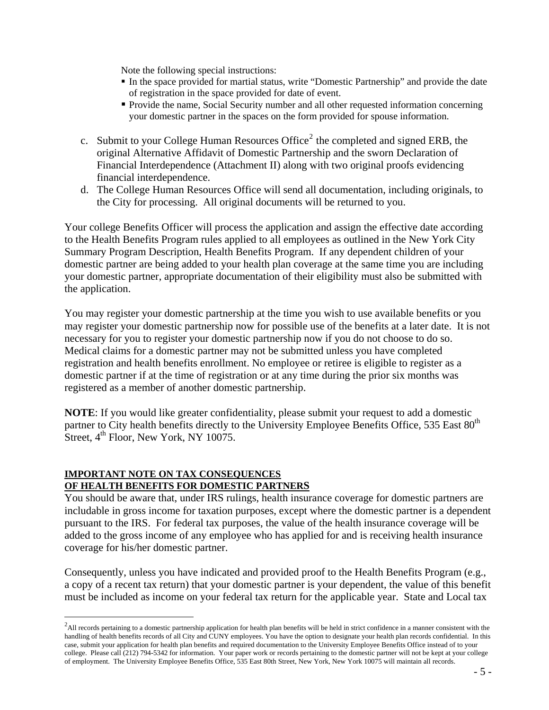Note the following special instructions:

- In the space provided for martial status, write "Domestic Partnership" and provide the date of registration in the space provided for date of event.
- Provide the name, Social Security number and all other requested information concerning your domestic partner in the spaces on the form provided for spouse information.
- c. Submit to your College Human Resources Office<sup>[2](#page-4-0)</sup> the completed and signed ERB, the original Alternative Affidavit of Domestic Partnership and the sworn Declaration of Financial Interdependence (Attachment II) along with two original proofs evidencing financial interdependence.
- d. The College Human Resources Office will send all documentation, including originals, to the City for processing. All original documents will be returned to you.

Your college Benefits Officer will process the application and assign the effective date according to the Health Benefits Program rules applied to all employees as outlined in the New York City Summary Program Description, Health Benefits Program. If any dependent children of your domestic partner are being added to your health plan coverage at the same time you are including your domestic partner, appropriate documentation of their eligibility must also be submitted with the application.

You may register your domestic partnership at the time you wish to use available benefits or you may register your domestic partnership now for possible use of the benefits at a later date. It is not necessary for you to register your domestic partnership now if you do not choose to do so. Medical claims for a domestic partner may not be submitted unless you have completed registration and health benefits enrollment. No employee or retiree is eligible to register as a domestic partner if at the time of registration or at any time during the prior six months was registered as a member of another domestic partnership.

**NOTE**: If you would like greater confidentiality, please submit your request to add a domestic partner to City health benefits directly to the University Employee Benefits Office, 535 East 80<sup>th</sup> Street,  $4<sup>th</sup>$  Floor, New York, NY 10075.

#### **IMPORTANT NOTE ON TAX CONSEQUENCES OF HEALTH BENEFITS FOR DOMESTIC PARTNERS**

 $\overline{a}$ 

You should be aware that, under IRS rulings, health insurance coverage for domestic partners are includable in gross income for taxation purposes, except where the domestic partner is a dependent pursuant to the IRS. For federal tax purposes, the value of the health insurance coverage will be added to the gross income of any employee who has applied for and is receiving health insurance coverage for his/her domestic partner.

Consequently, unless you have indicated and provided proof to the Health Benefits Program (e.g., a copy of a recent tax return) that your domestic partner is your dependent, the value of this benefit must be included as income on your federal tax return for the applicable year. State and Local tax

<span id="page-4-0"></span> $^2$ All records pertaining to a domestic partnership application for health plan benefits will be held in strict confidence in a manner consistent with the handling of health benefits records of all City and CUNY employees. You have the option to designate your health plan records confidential. In this case, submit your application for health plan benefits and required documentation to the University Employee Benefits Office instead of to your college. Please call (212) 794-5342 for information. Your paper work or records pertaining to the domestic partner will not be kept at your college of employment. The University Employee Benefits Office, 535 East 80th Street, New York, New York 10075 will maintain all records.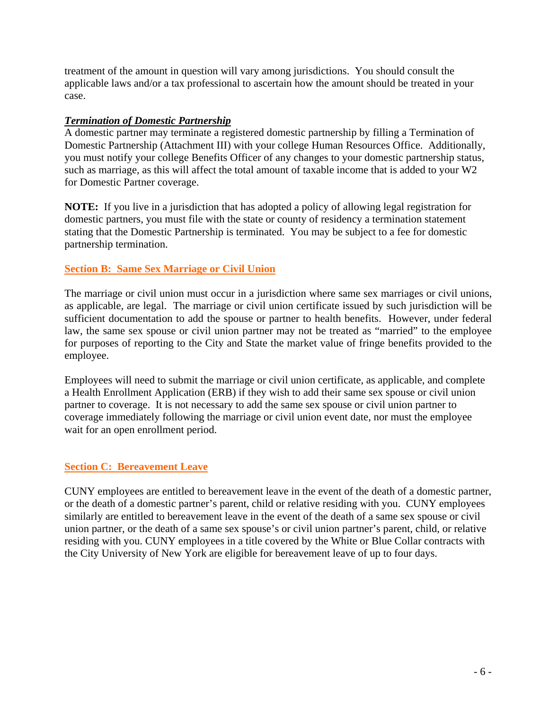treatment of the amount in question will vary among jurisdictions. You should consult the applicable laws and/or a tax professional to ascertain how the amount should be treated in your case.

#### *Termination of Domestic Partnership*

A domestic partner may terminate a registered domestic partnership by filling a Termination of Domestic Partnership (Attachment III) with your college Human Resources Office. Additionally, you must notify your college Benefits Officer of any changes to your domestic partnership status, such as marriage, as this will affect the total amount of taxable income that is added to your W2 for Domestic Partner coverage.

**NOTE:** If you live in a jurisdiction that has adopted a policy of allowing legal registration for domestic partners, you must file with the state or county of residency a termination statement stating that the Domestic Partnership is terminated. You may be subject to a fee for domestic partnership termination.

#### **Section B: Same Sex Marriage or Civil Union**

The marriage or civil union must occur in a jurisdiction where same sex marriages or civil unions, as applicable, are legal. The marriage or civil union certificate issued by such jurisdiction will be sufficient documentation to add the spouse or partner to health benefits. However, under federal law, the same sex spouse or civil union partner may not be treated as "married" to the employee for purposes of reporting to the City and State the market value of fringe benefits provided to the employee.

Employees will need to submit the marriage or civil union certificate, as applicable, and complete a Health Enrollment Application (ERB) if they wish to add their same sex spouse or civil union partner to coverage. It is not necessary to add the same sex spouse or civil union partner to coverage immediately following the marriage or civil union event date, nor must the employee wait for an open enrollment period.

#### **Section C: Bereavement Leave**

CUNY employees are entitled to bereavement leave in the event of the death of a domestic partner, or the death of a domestic partner's parent, child or relative residing with you. CUNY employees similarly are entitled to bereavement leave in the event of the death of a same sex spouse or civil union partner, or the death of a same sex spouse's or civil union partner's parent, child, or relative residing with you. CUNY employees in a title covered by the White or Blue Collar contracts with the City University of New York are eligible for bereavement leave of up to four days.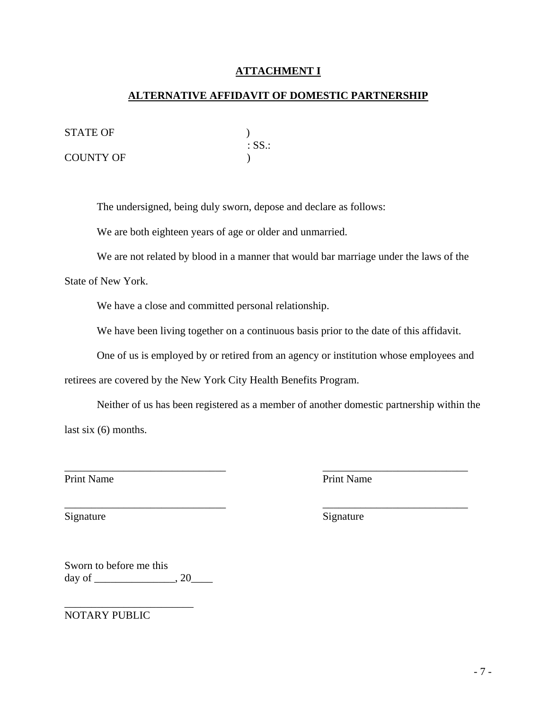#### **ATTACHMENT I**

#### **ALTERNATIVE AFFIDAVIT OF DOMESTIC PARTNERSHIP**

STATE OF )

| SIAIE UF  |          |
|-----------|----------|
|           | $:SS.$ : |
| COUNTY OF |          |

The undersigned, being duly sworn, depose and declare as follows:

We are both eighteen years of age or older and unmarried.

We are not related by blood in a manner that would bar marriage under the laws of the

State of New York.

We have a close and committed personal relationship.

We have been living together on a continuous basis prior to the date of this affidavit.

One of us is employed by or retired from an agency or institution whose employees and

retirees are covered by the New York City Health Benefits Program.

Neither of us has been registered as a member of another domestic partnership within the last six (6) months.

\_\_\_\_\_\_\_\_\_\_\_\_\_\_\_\_\_\_\_\_\_\_\_\_\_\_\_\_\_\_ \_\_\_\_\_\_\_\_\_\_\_\_\_\_\_\_\_\_\_\_\_\_\_\_\_\_\_

\_\_\_\_\_\_\_\_\_\_\_\_\_\_\_\_\_\_\_\_\_\_\_\_\_\_\_\_\_\_ \_\_\_\_\_\_\_\_\_\_\_\_\_\_\_\_\_\_\_\_\_\_\_\_\_\_\_

Print Name Print Name

Signature Signature Signature Signature Signature Signature Signature Signature Signature Signature Signature Signature Signature Signature Signature Signature Signature Signature Signature Signature Signature Signature Si

Sworn to before me this  $day of$   $, 20$ 

\_\_\_\_\_\_\_\_\_\_\_\_\_\_\_\_\_\_\_\_\_\_\_\_

NOTARY PUBLIC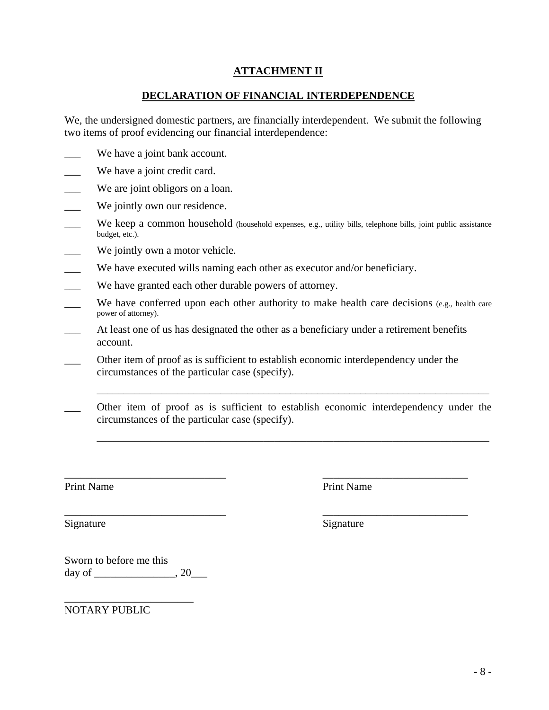#### **ATTACHMENT II**

#### **DECLARATION OF FINANCIAL INTERDEPENDENCE**

We, the undersigned domestic partners, are financially interdependent. We submit the following two items of proof evidencing our financial interdependence:

- We have a joint bank account.
- We have a joint credit card.
- We are joint obligors on a loan.
- We jointly own our residence.
- We keep a common household (household expenses, e.g., utility bills, telephone bills, joint public assistance budget, etc.).
- We jointly own a motor vehicle.
- \_\_\_ We have executed wills naming each other as executor and/or beneficiary.
- We have granted each other durable powers of attorney.
- We have conferred upon each other authority to make health care decisions (e.g., health care power of attorney).
- At least one of us has designated the other as a beneficiary under a retirement benefits account.
- Other item of proof as is sufficient to establish economic interdependency under the circumstances of the particular case (specify).
- Other item of proof as is sufficient to establish economic interdependency under the circumstances of the particular case (specify).

\_\_\_\_\_\_\_\_\_\_\_\_\_\_\_\_\_\_\_\_\_\_\_\_\_\_\_\_\_\_ \_\_\_\_\_\_\_\_\_\_\_\_\_\_\_\_\_\_\_\_\_\_\_\_\_\_\_

 $\overline{\phantom{a}}$  , and the contribution of the contribution of the contribution of the contribution of the contribution of the contribution of the contribution of the contribution of the contribution of the contribution of the

\_\_\_\_\_\_\_\_\_\_\_\_\_\_\_\_\_\_\_\_\_\_\_\_\_\_\_\_\_\_\_\_\_\_\_\_\_\_\_\_\_\_\_\_\_\_\_\_\_\_\_\_\_\_\_\_\_\_\_\_\_\_\_\_\_\_\_\_\_\_\_\_\_

\_\_\_\_\_\_\_\_\_\_\_\_\_\_\_\_\_\_\_\_\_\_\_\_\_\_\_\_\_\_\_\_\_\_\_\_\_\_\_\_\_\_\_\_\_\_\_\_\_\_\_\_\_\_\_\_\_\_\_\_\_\_\_\_\_\_\_\_\_\_\_\_\_

Print Name Print Name

Signature Signature Signature Signature Signature Signature Signature Signature Signature Signature Signature Signature Signature Signature Signature Signature Signature Signature Signature Signature Signature Signature Si

Sworn to before me this  $day of$   $.20$ 

\_\_\_\_\_\_\_\_\_\_\_\_\_\_\_\_\_\_\_\_\_\_\_\_

NOTARY PUBLIC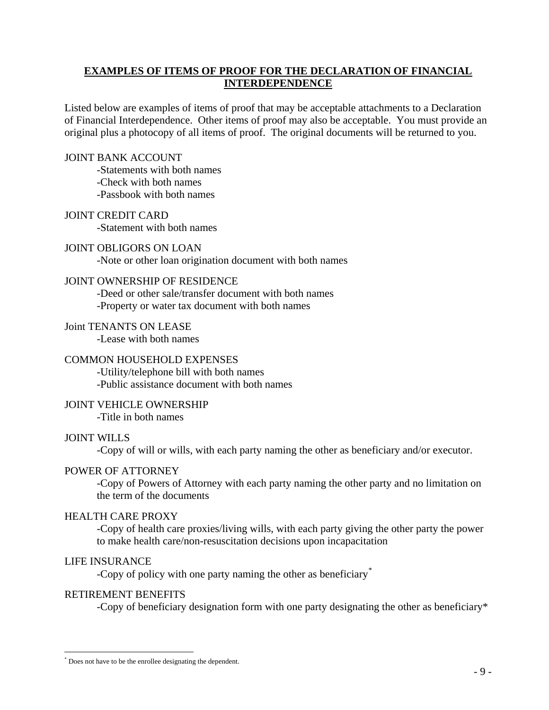#### **EXAMPLES OF ITEMS OF PROOF FOR THE DECLARATION OF FINANCIAL INTERDEPENDENCE**

Listed below are examples of items of proof that may be acceptable attachments to a Declaration of Financial Interdependence. Other items of proof may also be acceptable. You must provide an original plus a photocopy of all items of proof. The original documents will be returned to you.

#### JOINT BANK ACCOUNT

 -Statements with both names -Check with both names -Passbook with both names

#### JOINT CREDIT CARD

-Statement with both names

#### JOINT OBLIGORS ON LOAN

-Note or other loan origination document with both names

#### JOINT OWNERSHIP OF RESIDENCE

-Deed or other sale/transfer document with both names

-Property or water tax document with both names

#### Joint TENANTS ON LEASE

-Lease with both names

#### COMMON HOUSEHOLD EXPENSES

 -Utility/telephone bill with both names -Public assistance document with both names

#### JOINT VEHICLE OWNERSHIP

-Title in both names

#### JOINT WILLS

-Copy of will or wills, with each party naming the other as beneficiary and/or executor.

#### POWER OF ATTORNEY

-Copy of Powers of Attorney with each party naming the other party and no limitation on the term of the documents

#### HEALTH CARE PROXY

-Copy of health care proxies/living wills, with each party giving the other party the power to make health care/non-resuscitation decisions upon incapacitation

#### LIFE INSURANCE

 $\overline{a}$ 

-Copy of policy with one party naming the other as beneficiary[\\*](#page-8-0)

#### RETIREMENT BENEFITS

-Copy of beneficiary designation form with one party designating the other as beneficiary\*

<span id="page-8-0"></span><sup>\*</sup> Does not have to be the enrollee designating the dependent.